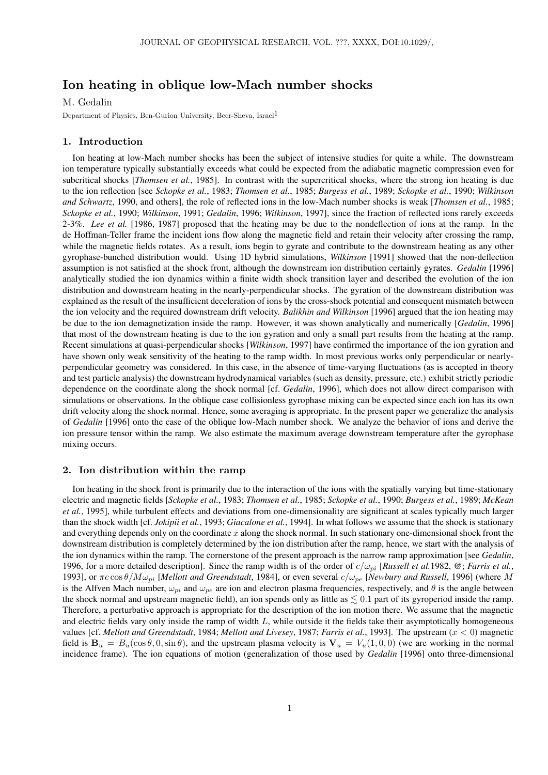# Ion heating in oblique low-Mach number shocks

#### M. Gedalin

Department of Physics, Ben-Gurion University, Beer-Sheva, Israel1

### 1. Introduction

Ion heating at low-Mach number shocks has been the subject of intensive studies for quite a while. The downstream ion temperature typically substantially exceeds what could be expected from the adiabatic magnetic compression even for subcritical shocks [*Thomsen et al.*, 1985]. In contrast with the supercritical shocks, where the strong ion heating is due to the ion reflection [see *Sckopke et al.*, 1983; *Thomsen et al.*, 1985; *Burgess et al.*, 1989; *Sckopke et al.*, 1990; *Wilkinson and Schwartz*, 1990, and others], the role of reflected ions in the low-Mach number shocks is weak [*Thomsen et al.*, 1985; *Sckopke et al.*, 1990; *Wilkinson*, 1991; *Gedalin*, 1996; *Wilkinson*, 1997], since the fraction of reflected ions rarely exceeds 2-3%. *Lee et al.* [1986, 1987] proposed that the heating may be due to the nondeflection of ions at the ramp. In the de Hoffman-Teller frame the incident ions flow along the magnetic field and retain their velocity after crossing the ramp, while the magnetic fields rotates. As a result, ions begin to gyrate and contribute to the downstream heating as any other gyrophase-bunched distribution would. Using 1D hybrid simulations, *Wilkinson* [1991] showed that the non-deflection assumption is not satisfied at the shock front, although the downstream ion distribution certainly gyrates. *Gedalin* [1996] analytically studied the ion dynamics within a finite width shock transition layer and described the evolution of the ion distribution and downstream heating in the nearly-perpendicular shocks. The gyration of the downstream distribution was explained as the result of the insufficient deceleration of ions by the cross-shock potential and consequent mismatch between the ion velocity and the required downstream drift velocity. *Balikhin and Wilkinson* [1996] argued that the ion heating may be due to the ion demagnetization inside the ramp. However, it was shown analytically and numerically [*Gedalin*, 1996] that most of the downstream heating is due to the ion gyration and only a small part results from the heating at the ramp. Recent simulations at quasi-perpendicular shocks [*Wilkinson*, 1997] have confirmed the importance of the ion gyration and have shown only weak sensitivity of the heating to the ramp width. In most previous works only perpendicular or nearlyperpendicular geometry was considered. In this case, in the absence of time-varying fluctuations (as is accepted in theory and test particle analysis) the downstream hydrodynamical variables (such as density, pressure, etc.) exhibit strictly periodic dependence on the coordinate along the shock normal [cf. *Gedalin*, 1996], which does not allow direct comparison with simulations or observations. In the oblique case collisionless gyrophase mixing can be expected since each ion has its own drift velocity along the shock normal. Hence, some averaging is appropriate. In the present paper we generalize the analysis of *Gedalin* [1996] onto the case of the oblique low-Mach number shock. We analyze the behavior of ions and derive the ion pressure tensor within the ramp. We also estimate the maximum average downstream temperature after the gyrophase mixing occurs.

## 2. Ion distribution within the ramp

Ion heating in the shock front is primarily due to the interaction of the ions with the spatially varying but time-stationary electric and magnetic fields [*Sckopke et al.*, 1983; *Thomsen et al.*, 1985; *Sckopke et al.*, 1990; *Burgess et al.*, 1989; *McKean et al.*, 1995], while turbulent effects and deviations from one-dimensionality are significant at scales typically much larger than the shock width [cf. *Jokipii et al.*, 1993; *Giacalone et al.*, 1994]. In what follows we assume that the shock is stationary and everything depends only on the coordinate  $x$  along the shock normal. In such stationary one-dimensional shock front the downstream distribution is completely determined by the ion distribution after the ramp, hence, we start with the analysis of the ion dynamics within the ramp. The cornerstone of the present approach is the narrow ramp approximation [see *Gedalin*, 1996, for a more detailed description]. Since the ramp width is of the order of  $c/\omega_{pi}$  [*Russell et al.*1982,  $\circledcirc$ ; *Farris et al.*, 1993], or  $\pi c \cos \theta / M \omega_{pi}$  [*Mellott and Greendstadt*, 1984], or even several  $c/\omega_{pe}$  [*Newbury and Russell*, 1996] (where *M* is the Alfven Mach number,  $\omega_{pi}$  and  $\omega_{pe}$  are ion and electron plasma frequencies, respectively, and  $\theta$  is the angle between the shock normal and upstream magnetic field), an ion spends only as little as  $\leq 0.1$  part of its gyroperiod inside the ramp. Therefore, a perturbative approach is appropriate for the description of the ion motion there. We assume that the magnetic and electric fields vary only inside the ramp of width  $L$ , while outside it the fields take their asymptotically homogeneous values [cf. *Mellott and Greendstadt*, 1984; *Mellott and Livesey*, 1987; *Farris et al.*, 1993]. The upstream (x < 0) magnetic field is  $B_u = B_u(\cos \theta, 0, \sin \theta)$ , and the upstream plasma velocity is  $V_u = V_u(1, 0, 0)$  (we are working in the normal incidence frame). The ion equations of motion (generalization of those used by *Gedalin* [1996] onto three-dimensional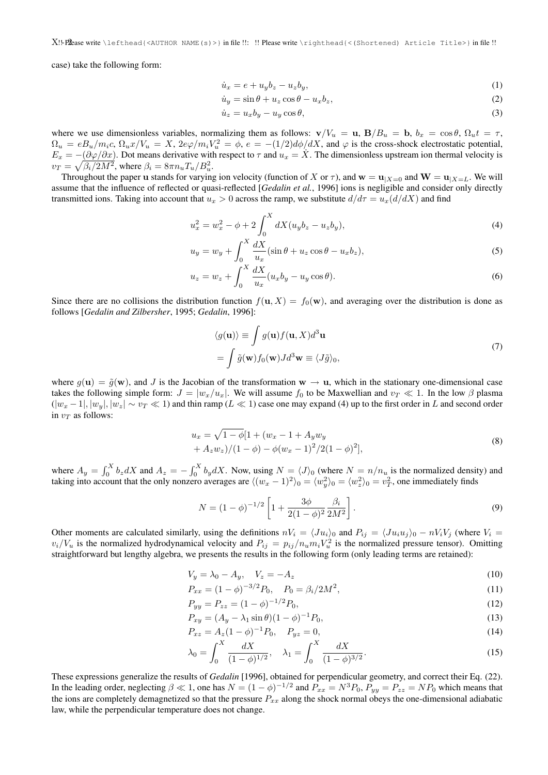$X!$  -  $X!$  -  $X!$  -  $X!$  -  $X!$  -  $X!$  -  $X!$  -  $X!$  -  $X!$  -  $X!$  -  $X!$  -  $X!$  -  $X!$  -  $X!$  -  $X!$  -  $X!$  -  $X!$  -  $X!$  -  $X!$  -  $X!$  -  $X!$  -  $X!$  -  $X!$  -  $X!$  -  $X!$  -  $X!$  -  $X!$  -  $X!$  -  $X!$  -  $X!$  -  $X!$  -  $X!$ 

case) take the following form:

$$
\dot{u}_x = e + u_y b_z - u_z b_y,\tag{1}
$$

$$
\dot{u}_y = \sin \theta + u_z \cos \theta - u_x b_z,\tag{2}
$$

$$
\dot{u}_z = u_x b_y - u_y \cos \theta,\tag{3}
$$

where we use dimensionless variables, normalizing them as follows:  $\mathbf{v}/V_u = \mathbf{u}, \mathbf{B}/B_u = \mathbf{b}, b_x = \cos \theta, \Omega_u t = \tau$ ,  $\Omega_u = eB_u/m_ic$ ,  $\Omega_u x/V_u = X$ ,  $2e\varphi/m_iV_u^2 = \phi$ ,  $e = -(1/2)d\phi/dX$ , and  $\varphi$  is the cross-shock electrostatic potential,  $E_x = -(\partial \varphi/\partial x)$ . Dot means derivative with respect to  $\tau$  and  $u_x = X$ . The dimensionless upstream ion thermal velocity is  $v_T = \sqrt{\beta_i/2M^2}$ , where  $\beta_i = 8\pi n_u T_u/B_u^2$ .

Throughout the paper u stands for varying ion velocity (function of X or  $\tau$ ), and  $\mathbf{w} = \mathbf{u}_{X=0}$  and  $\mathbf{W} = \mathbf{u}_{X=L}$ . We will assume that the influence of reflected or quasi-reflected [*Gedalin et al.*, 1996] ions is negligible and consider only directly transmitted ions. Taking into account that  $u_x > 0$  across the ramp, we substitute  $d/d\tau = u_x(d/dX)$  and find

$$
u_x^2 = w_x^2 - \phi + 2 \int_0^X dX (u_y b_z - u_z b_y), \tag{4}
$$

$$
u_y = w_y + \int_0^X \frac{dX}{u_x} (\sin \theta + u_z \cos \theta - u_x b_z), \tag{5}
$$

$$
u_z = w_z + \int_0^X \frac{dX}{u_x}(u_x b_y - u_y \cos \theta). \tag{6}
$$

Since there are no collisions the distribution function  $f(\mathbf{u}, X) = f_0(\mathbf{w})$ , and averaging over the distribution is done as follows [*Gedalin and Zilbersher*, 1995; *Gedalin*, 1996]:

$$
\langle g(\mathbf{u}) \rangle \equiv \int g(\mathbf{u}) f(\mathbf{u}, X) d^3 \mathbf{u}
$$
  
= 
$$
\int \tilde{g}(\mathbf{w}) f_0(\mathbf{w}) J d^3 \mathbf{w} \equiv \langle J \tilde{g} \rangle_0,
$$
 (7)

where  $g(\mathbf{u}) = \tilde{g}(\mathbf{w})$ , and J is the Jacobian of the transformation  $\mathbf{w} \to \mathbf{u}$ , which in the stationary one-dimensional case takes the following simple form:  $J = |w_x/u_x|$ . We will assume  $f_0$  to be Maxwellian and  $v_T \ll 1$ . In the low  $\beta$  plasma  $(|w_x - 1|, |w_y|, |w_z| \sim v_T \ll 1)$  and thin ramp ( $L \ll 1$ ) case one may expand (4) up to the first order in L and second order in  $v_T$  as follows:

$$
u_x = \sqrt{1 - \phi} [1 + (w_x - 1 + A_y w_y + A_z w_z)/(1 - \phi) - \phi (w_x - 1)^2/2(1 - \phi)^2],
$$
\n(8)

where  $A_y = \int_0^X b_z dX$  and  $A_z = -\int_0^X b_y dX$ . Now, using  $N = \langle J \rangle_0$  (where  $N = n/n_u$  is the normalized density) and taking into account that the only nonzero averages are  $\langle (w_x - 1)^2 \rangle_0 = \langle w_y^2 \rangle_0 = \langle w_z^2 \rangle_0 = v_T^2$ , one immediately finds

$$
N = (1 - \phi)^{-1/2} \left[ 1 + \frac{3\phi}{2(1 - \phi)^2} \frac{\beta_i}{2M^2} \right].
$$
\n(9)

Other moments are calculated similarly, using the definitions  $nV_i = \langle Ju_i \rangle_0$  and  $P_{ij} = \langle Ju_i u_j \rangle_0 - nV_iV_j$  (where  $V_i =$  $v_i/V_u$  is the normalized hydrodynamical velocity and  $P_{ij} = p_{ij}/n_u m_i V_u^2$  is the normalized pressure tensor). Omitting straightforward but lengthy algebra, we presents the results in the following form (only leading terms are retained):

$$
V_y = \lambda_0 - A_y, \quad V_z = -A_z \tag{10}
$$

$$
P_{xx} = (1 - \phi)^{-3/2} P_0, \quad P_0 = \beta_i / 2M^2,
$$
\n(11)

$$
P_{yy} = P_{zz} = (1 - \phi)^{-1/2} P_0,\tag{12}
$$

$$
P_{xy} = (A_y - \lambda_1 \sin \theta)(1 - \phi)^{-1} P_0,
$$
\n(13)

$$
P_{xz} = A_z (1 - \phi)^{-1} P_0, \quad P_{yz} = 0,
$$
\n(14)

$$
\lambda_0 = \int_0^X \frac{dX}{(1 - \phi)^{1/2}}, \quad \lambda_1 = \int_0^X \frac{dX}{(1 - \phi)^{3/2}}.
$$
 (15)

These expressions generalize the results of *Gedalin* [1996], obtained for perpendicular geometry, and correct their Eq. (22). In the leading order, neglecting  $\beta \ll 1$ , one has  $N = (1 - \phi)^{-1/2}$  and  $P_{xx} = N^3 P_0$ ,  $P_{yy} = P_{zz} = NP_0$  which means that the ions are completely demagnetized so that the pressure  $P_{xx}$  along the shock normal obeys the one-dimensional adiabatic law, while the perpendicular temperature does not change.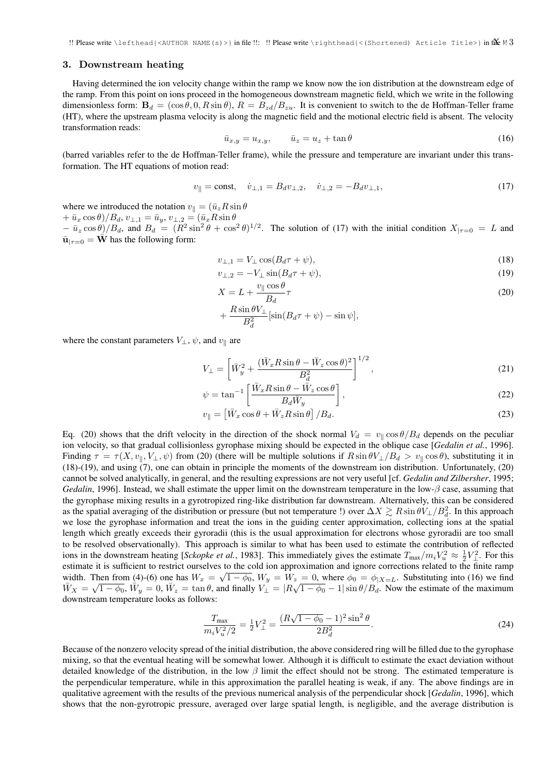### 3. Downstream heating

Having determined the ion velocity change within the ramp we know now the ion distribution at the downstream edge of the ramp. From this point on ions proceed in the homogeneous downstream magnetic field, which we write in the following dimensionless form:  $B_d = (\cos \theta, 0, R \sin \theta), R = B_{z_d}/B_{zu}$ . It is convenient to switch to the de Hoffman-Teller frame (HT), where the upstream plasma velocity is along the magnetic field and the motional electric field is absent. The velocity transformation reads:

$$
\bar{u}_{x,y} = u_{x,y}, \qquad \bar{u}_z = u_z + \tan \theta \tag{16}
$$

(barred variables refer to the de Hoffman-Teller frame), while the pressure and temperature are invariant under this transformation. The HT equations of motion read:

$$
v_{\parallel} = \text{const}, \quad \dot{v}_{\perp,1} = B_d v_{\perp,2}, \quad \dot{v}_{\perp,2} = -B_d v_{\perp,1}, \tag{17}
$$

where we introduced the notation  $v_{\parallel} = (\bar{u}_z R \sin \theta)$ 

 $+\bar{u}_x \cos \theta$ )/ $B_d$ ,  $v_{\perp,1} = \bar{u}_y$ ,  $v_{\perp,2} = (\bar{u}_x R \sin \theta)$ 

 $-\bar{u}_z \cos \theta / B_d$ , and  $B_d = (R^2 \sin^2 \theta + \cos^2 \theta)^{1/2}$ . The solution of (17) with the initial condition  $X_{|\tau=0} = L$  and  $\bar{\mathbf{u}}_{|\tau=0} = \bar{\mathbf{W}}$  has the following form:

$$
v_{\perp,1} = V_{\perp} \cos(B_d \tau + \psi),\tag{18}
$$

$$
v_{\perp,2} = -V_{\perp}\sin(B_d\tau + \psi),\tag{19}
$$

$$
X = L + \frac{v_{\parallel} \cos \theta}{B_d} \tau \tag{20}
$$

$$
+ \frac{R \sin \theta V_{\perp}}{B_d^2} [\sin(B_d \tau + \psi) - \sin \psi],
$$

where the constant parameters  $V_{\perp}$ ,  $\psi$ , and  $v_{\parallel}$  are

$$
V_{\perp} = \left[ \bar{W}_y^2 + \frac{(\bar{W}_x R \sin \theta - \bar{W}_z \cos \theta)^2}{B_d^2} \right]^{1/2},\tag{21}
$$

$$
\psi = \tan^{-1} \left[ \frac{\bar{W}_x R \sin \theta - \bar{W}_z \cos \theta}{B_d \bar{W}_y} \right],\tag{22}
$$

$$
v_{\parallel} = \left[ \bar{W}_x \cos \theta + \bar{W}_z R \sin \theta \right] / B_d. \tag{23}
$$

Eq. (20) shows that the drift velocity in the direction of the shock normal  $V_d = v_{\parallel} \cos \theta / B_d$  depends on the peculiar ion velocity, so that gradual collisionless gyrophase mixing should be expected in the oblique case [*Gedalin et al.*, 1996]. Finding  $\tau = \tau(X, v_{\parallel}, V_{\perp}, \psi)$  from (20) (there will be multiple solutions if  $R \sin \theta V_{\perp}/B_d > v_{\parallel} \cos \theta$ ), substituting it in (18)-(19), and using (7), one can obtain in principle the moments of the downstream ion distribution. Unfortunately, (20) cannot be solved analytically, in general, and the resulting expressions are not very useful [cf. *Gedalin and Zilbersher*, 1995; *Gedalin*, 1996]. Instead, we shall estimate the upper limit on the downstream temperature in the low- $\beta$  case, assuming that the gyrophase mixing results in a gyrotropized ring-like distribution far downstream. Alternatively, this can be considered as the spatial averaging of the distribution or pressure (but not temperature !) over  $\Delta X \gtrsim R \sin \theta V_{\perp}/B_d^2$ . In this approach we lose the gyrophase information and treat the ions in the guiding center approximation, collecting ions at the spatial length which greatly exceeds their gyroradii (this is the usual approximation for electrons whose gyroradii are too small to be resolved observationally). This approach is similar to what has been used to estimate the contribution of reflected ions in the downstream heating [*Sckopke et al.*, 1983]. This immediately gives the estimate  $T_{\text{max}}/m_i V_u^2 \approx \frac{1}{2} V_{\perp}^2$ . For this estimate it is sufficient to restrict ourselves to the cold ion approximation and ignore corrections related to the finite ramp width. Then from (4)-(6) one has  $W_x = \sqrt{1 - \phi_0}$ ,  $W_y = W_z = 0$ , where  $\phi_0 = \phi_{|X=L}$ . Substituting into (16) we find Width. Then from (4)-(6) one has  $W_x = \sqrt{1 - \phi_0}$ ,  $W_y = W_z = 0$ , where  $\phi_0 = \phi_{|X=L}$ . Substituting into (16) we find  $\overline{W}_X = \sqrt{1 - \phi_0}$ ,  $\overline{W}_y = 0$ ,  $\overline{W}_z = \tan \theta$ , and finally  $V_{\perp} = |R\sqrt{1 - \phi_0} - 1| \sin \theta / B_d$ . Now the downstream temperature looks as follows:

$$
\frac{T_{\text{max}}}{m_i V_u^2/2} = \frac{1}{2} V_{\perp}^2 = \frac{(R\sqrt{1-\phi_0}-1)^2 \sin^2\theta}{2B_d^2}.
$$
\n(24)

Because of the nonzero velocity spread of the initial distribution, the above considered ring will be filled due to the gyrophase mixing, so that the eventual heating will be somewhat lower. Although it is difficult to estimate the exact deviation without detailed knowledge of the distribution, in the low  $\beta$  limit the effect should not be strong. The estimated temperature is the perpendicular temperature, while in this approximation the parallel heating is weak, if any. The above findings are in qualitative agreement with the results of the previous numerical analysis of the perpendicular shock [*Gedalin*, 1996], which shows that the non-gyrotropic pressure, averaged over large spatial length, is negligible, and the average distribution is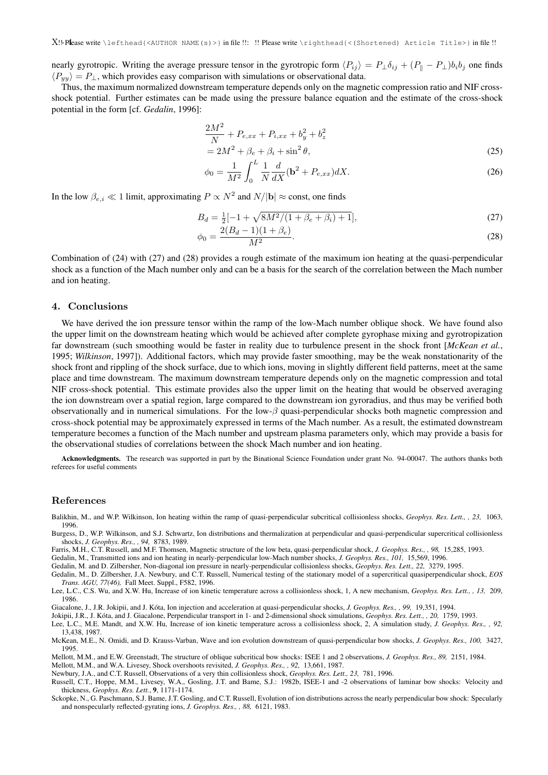nearly gyrotropic. Writing the average pressure tensor in the gyrotropic form  $\langle P_{ij} \rangle = P_\perp \delta_{ij} + (P_\parallel - P_\perp) b_i b_j$  one finds  $\langle P_{yy} \rangle = P_{\perp}$ , which provides easy comparison with simulations or observational data.

Thus, the maximum normalized downstream temperature depends only on the magnetic compression ratio and NIF crossshock potential. Further estimates can be made using the pressure balance equation and the estimate of the cross-shock potential in the form [cf. *Gedalin*, 1996]:

$$
\frac{2M^2}{N} + P_{e,xx} + P_{i,xx} + b_y^2 + b_z^2
$$
  
=  $2M^2 + \beta_e + \beta_i + \sin^2 \theta$ , (25)

$$
\phi_0 = \frac{1}{M^2} \int_0^L \frac{1}{N} \frac{d}{dX} (\mathbf{b}^2 + P_{e,xx}) dX.
$$
 (26)

In the low  $\beta_{e,i} \ll 1$  limit, approximating  $P \propto N^2$  and  $N/|\mathbf{b}| \approx \text{const}$ , one finds

$$
B_d = \frac{1}{2} \left[ -1 + \sqrt{8M^2/(1 + \beta_e + \beta_i) + 1} \right],\tag{27}
$$

$$
\phi_0 = \frac{2(B_d - 1)(1 + \beta_e)}{M^2}.
$$
\n(28)

Combination of (24) with (27) and (28) provides a rough estimate of the maximum ion heating at the quasi-perpendicular shock as a function of the Mach number only and can be a basis for the search of the correlation between the Mach number and ion heating.

### 4. Conclusions

We have derived the ion pressure tensor within the ramp of the low-Mach number oblique shock. We have found also the upper limit on the downstream heating which would be achieved after complete gyrophase mixing and gyrotropization far downstream (such smoothing would be faster in reality due to turbulence present in the shock front [*McKean et al.*, 1995; *Wilkinson*, 1997]). Additional factors, which may provide faster smoothing, may be the weak nonstationarity of the shock front and rippling of the shock surface, due to which ions, moving in slightly different field patterns, meet at the same place and time downstream. The maximum downstream temperature depends only on the magnetic compression and total NIF cross-shock potential. This estimate provides also the upper limit on the heating that would be observed averaging the ion downstream over a spatial region, large compared to the downstream ion gyroradius, and thus may be verified both observationally and in numerical simulations. For the low- $\beta$  quasi-perpendicular shocks both magnetic compression and cross-shock potential may be approximately expressed in terms of the Mach number. As a result, the estimated downstream temperature becomes a function of the Mach number and upstream plasma parameters only, which may provide a basis for the observational studies of correlations between the shock Mach number and ion heating.

Acknowledgments. The research was supported in part by the Binational Science Foundation under grant No. 94-00047. The authors thanks both referees for useful comments

#### References

Balikhin, M., and W.P. Wilkinson, Ion heating within the ramp of quasi-perpendicular subcritical collisionless shocks, *Geophys. Res. Lett., , 23,* 1063, 1996.

Burgess, D., W.P. Wilkinson, and S.J. Schwartz, Ion distributions and thermalization at perpendicular and quasi-perpendicular supercritical collisionless shocks, *J. Geophys. Res., , 94,* 8783, 1989.

Farris, M.H., C.T. Russell, and M.F. Thomsen, Magnetic structure of the low beta, quasi-perpendicular shock, *J. Geophys. Res., , 98,* 15,285, 1993.

Gedalin, M., Transmitted ions and ion heating in nearly-perpendicular low-Mach number shocks, *J. Geophys. Res., 101,* 15,569, 1996.

Gedalin, M. and D. Zilbersher, Non-diagonal ion pressure in nearly-perpendicular collisionless shocks, *Geophys. Res. Lett., 22,* 3279, 1995.

Gedalin, M., D. Zilbersher, J.A. Newbury, and C.T. Russell, Numerical testing of the stationary model of a supercritical quasiperpendicular shock, *EOS Trans. AGU, 77(46),* Fall Meet. Suppl., F582, 1996.

Lee, L.C., C.S. Wu, and X.W. Hu, Increase of ion kinetic temperature across a collisionless shock, 1, A new mechanism, *Geophys. Res. Lett., , 13,* 209, 1986.

Giacalone, J., J.R. Jokipii, and J. Kóta, Ion injection and acceleration at quasi-perpendicular shocks, J. Geophys. Res., , 99, 19,351, 1994.

Jokipii, J.R., J. Kota, and J. Giacalone, Perpendicular transport in 1- and 2-dimensional shock simulations, ´ *Geophys. Res. Lett., , 20,* 1759, 1993.

Lee, L.C., M.E. Mandt, and X.W. Hu, Increase of ion kinetic temperature across a collisionless shock, 2, A simulation study, *J. Geophys. Res., , 92,* 13,438, 1987.

McKean, M.E., N. Omidi, and D. Krauss-Varban, Wave and ion evolution downstream of quasi-perpendicular bow shocks, *J. Geophys. Res., 100,* 3427, 1995.

Mellott, M.M., and E.W. Greenstadt, The structure of oblique subcritical bow shocks: ISEE 1 and 2 observations, *J. Geophys. Res., 89,* 2151, 1984. Mellott, M.M., and W.A. Livesey, Shock overshoots revisited, *J. Geophys. Res., , 92,* 13,661, 1987.

Newbury, J.A., and C.T. Russell, Observations of a very thin collisionless shock, *Geophys. Res. Lett., 23,* 781, 1996.

Russell, C.T., Hoppe, M.M., Livesey, W.A., Gosling, J.T. and Bame, S.J.: 1982b, ISEE-1 and -2 observations of laminar bow shocks: Velocity and thickness, *Geophys. Res. Lett.*, 9, 1171-1174.

Sckopke, N., G. Paschmann, S.J. Bame, J.T. Gosling, and C.T. Russell, Evolution of ion distributions across the nearly perpendicular bow shock: Specularly and nonspecularly reflected-gyrating ions, *J. Geophys. Res., , 88,* 6121, 1983.